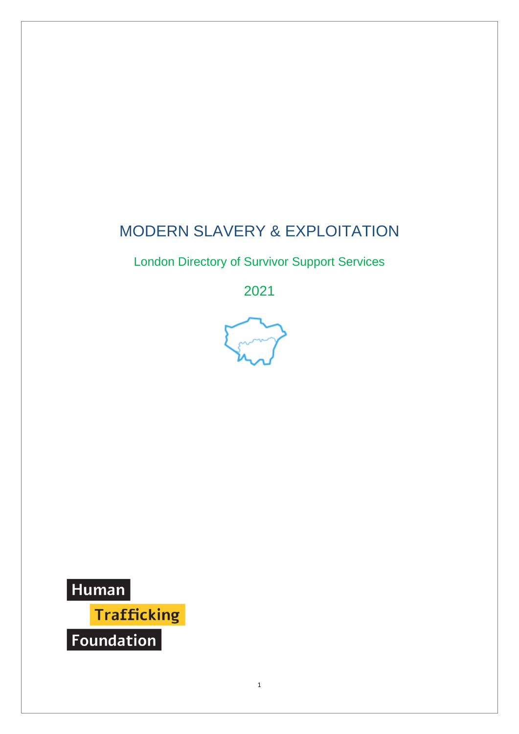# MODERN SLAVERY & EXPLOITATION

London Directory of Survivor Support Services

2021



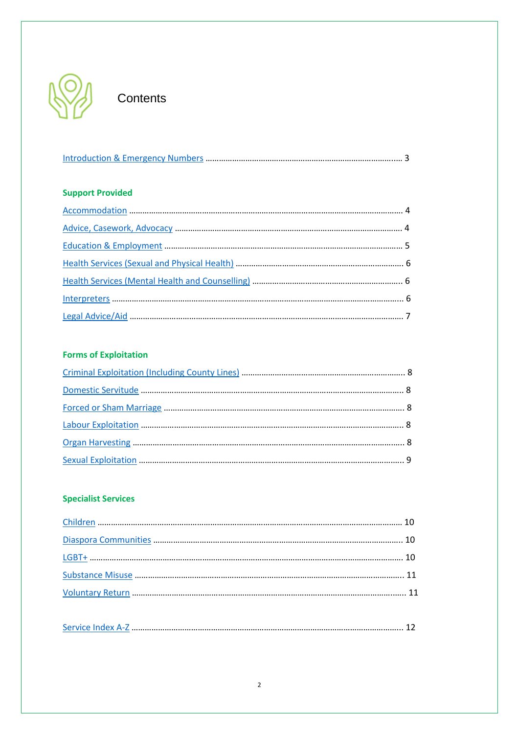

# **Contents**

|--|

### **Support Provided**

### **Forms of Exploitation**

### **Specialist Services**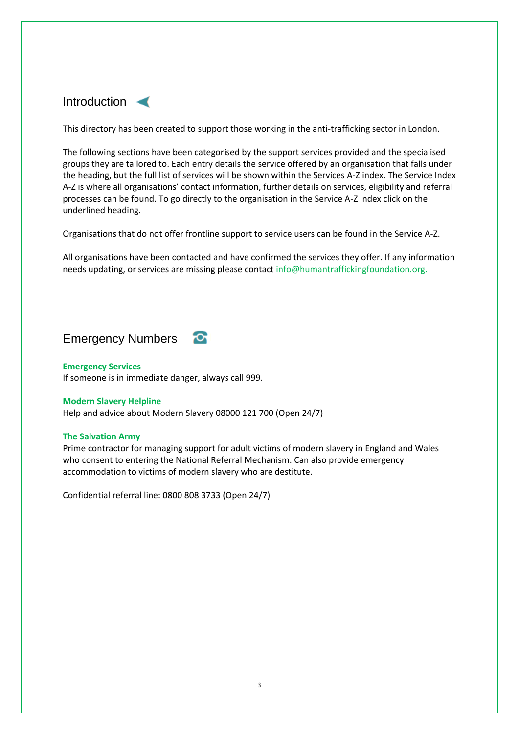<span id="page-2-0"></span>

This directory has been created to support those working in the anti-trafficking sector in London.

The following sections have been categorised by the support services provided and the specialised groups they are tailored to. Each entry details the service offered by an organisation that falls under the heading, but the full list of services will be shown within the Services A-Z index. The Service Index A-Z is where all organisations' contact information, further details on services, eligibility and referral processes can be found. To go directly to the organisation in the Service A-Z index click on the underlined heading.

Organisations that do not offer frontline support to service users can be found in the Service A-Z.

All organisations have been contacted and have confirmed the services they offer. If any information needs updating, or services are missing please contac[t info@humantraffickingfoundation.org.](mailto:info@humantraffickingfoundation.org)



#### **Emergency Services**

If someone is in immediate danger, always call 999.

#### **Modern Slavery Helpline**

Help and advice about Modern Slavery 08000 121 700 (Open 24/7)

#### **The Salvation Army**

Prime contractor for managing support for adult victims of modern slavery in England and Wales who consent to entering the National Referral Mechanism. Can also provide emergency accommodation to victims of modern slavery who are destitute.

Confidential referral line: 0800 808 3733 (Open 24/7)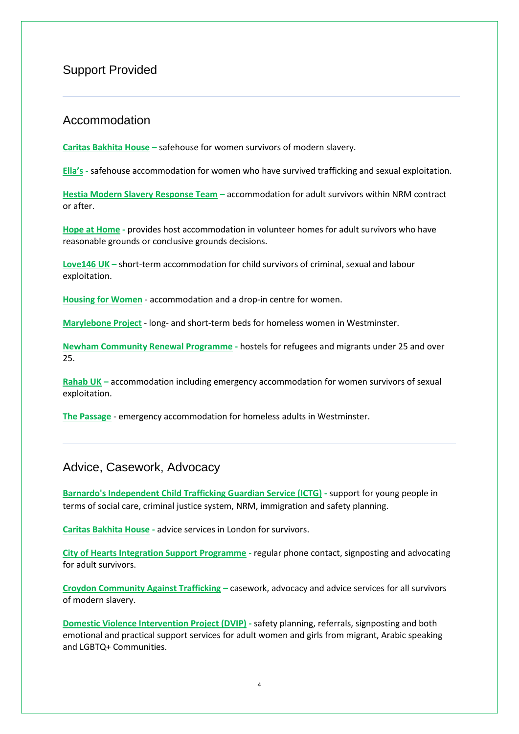### <span id="page-3-0"></span>Support Provided

### Accommodation

**[Caritas Bakhita House](#page-14-0) –** safehouse for women survivors of modern slavery.

**[Ella's](#page-17-0) -** safehouse accommodation for women who have survived trafficking and sexual exploitation.

**[Hestia Modern Slavery Response Team](#page-20-0) –** accommodation for adult survivors within NRM contract or after.

**[Hope at Home](#page-22-0) -** provides host accommodation in volunteer homes for adult survivors who have reasonable grounds or conclusive grounds decisions.

**[Love146 UK](#page-25-0) –** short-term accommodation for child survivors of criminal, sexual and labour exploitation.

**[Housing for Women](#page-22-1)** - accommodation and a drop-in centre for women.

**[Marylebone Project](#page-29-0)** - long- and short-term beds for homeless women in Westminster.

**[Newham Community Renewal Programme](#page-27-0) -** hostels for refugees and migrants under 25 and over 25.

**[Rahab UK](#page-30-0) –** accommodation including emergency accommodation for women survivors of sexual exploitation.

**[The Passage](#page-28-0)** - emergency accommodation for homeless adults in Westminster.

### <span id="page-3-1"></span>Advice, Casework, Advocacy

**[Barnardo's Independent Child Trafficking Guardian Service \(ICTG\)](#page-13-0) -** support for young people in terms of social care, criminal justice system, NRM, immigration and safety planning.

**[Caritas Bakhita House](#page-14-0) -** advice services in London for survivors.

**[City of Hearts Integration Support Programme](#page-14-1) -** regular phone contact, signposting and advocating for adult survivors.

**[Croydon Community Against Trafficking](#page-15-0) –** casework, advocacy and advice services for all survivors of modern slavery.

**[Domestic Violence Intervention Project \(DVIP\)](#page-16-0) -** safety planning, referrals, signposting and both emotional and practical support services for adult women and girls from migrant, Arabic speaking and LGBTQ+ Communities.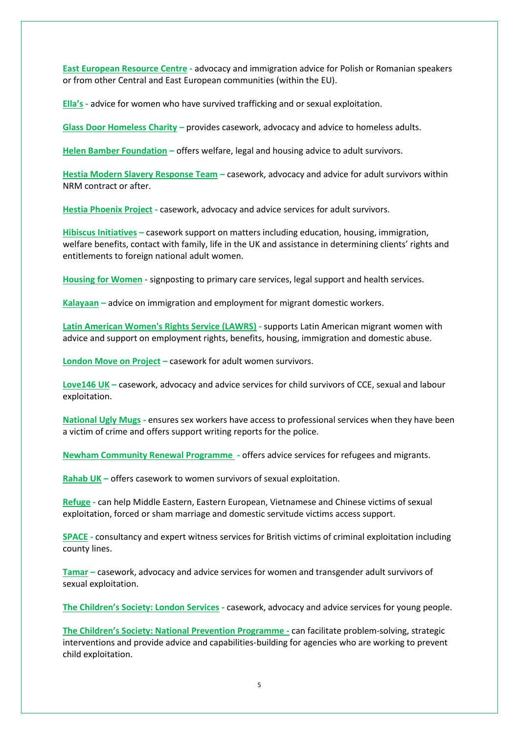**[East European Resource Centre](#page-16-1) -** advocacy and immigration advice for Polish or Romanian speakers or from other Central and East European communities (within the EU).

**[Ella's](#page-17-0) -** advice for women who have survived trafficking and or sexual exploitation.

**[Glass Door Homeless Charity](#page-19-0) –** provides casework, advocacy and advice to homeless adults.

**[Helen Bamber Foundation](#page-19-1) –** offers welfare, legal and housing advice to adult survivors.

**[Hestia Modern Slavery Response Team](#page-20-0) –** casework, advocacy and advice for adult survivors within NRM contract or after.

**[Hestia Phoenix Project](#page-20-1) -** casework, advocacy and advice services for adult survivors.

**[Hibiscus Initiatives](#page-21-0) –** casework support on matters including education, housing, immigration, welfare benefits, contact with family, life in the UK and assistance in determining clients' rights and entitlements to foreign national adult women.

**[Housing for Women](#page-22-1)** - signposting to primary care services, legal support and health services.

**[Kalayaan](#page-23-0) –** advice on immigration and employment for migrant domestic workers.

**[Latin American Women's Rights Service \(LAWRS\)](#page-24-0) -** supports Latin American migrant women with advice and support on employment rights, benefits, housing, immigration and domestic abuse.

**[London Move on Project](#page-24-1) –** casework for adult women survivors.

**[Love146 UK](#page-25-0) –** casework, advocacy and advice services for child survivors of CCE, sexual and labour exploitation.

**[National Ugly Mugs](#page-26-0) -** ensures sex workers have access to professional services when they have been a victim of crime and offers support writing reports for the police.

**[Newham Community Renewal Programme](#page-27-0) -** offers advice services for refugees and migrants.

**[Rahab UK](#page-30-0) –** offers casework to women survivors of sexual exploitation.

**[Refuge](#page-30-1) -** can help Middle Eastern, Eastern European, Vietnamese and Chinese victims of sexual exploitation, forced or sham marriage and domestic servitude victims access support.

**[SPACE](#page-31-0) -** consultancy and expert witness services for British victims of criminal exploitation including county lines.

**[Tamar](#page-32-0) –** casework, advocacy and advice services for women and transgender adult survivors of sexual exploitation.

**[The Children's Society: London Services](#page-27-1) -** casework, advocacy and advice services for young people.

**[The Children's Society: National Prevention Programme](#page-27-1) -** can facilitate problem-solving, strategic interventions and provide advice and capabilities-building for agencies who are working to prevent child exploitation.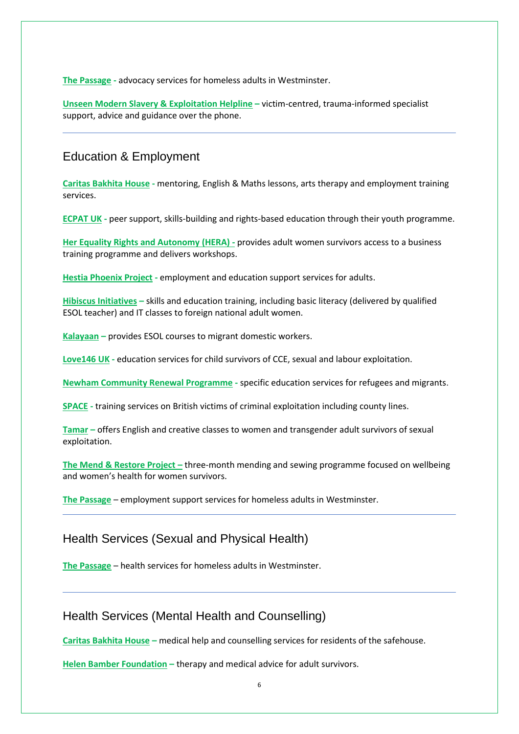**[The Passage](#page-28-0) -** advocacy services for homeless adults in Westminster.

**Unseen Modern [Slavery & Exploitation Helpline](#page-33-0) –** victim-centred, trauma-informed specialist support, advice and guidance over the phone.

### <span id="page-5-0"></span>Education & Employment

**[Caritas Bakhita House](#page-14-0) -** mentoring, English & Maths lessons, arts therapy and employment training services.

**[ECPAT UK](#page-17-1) -** peer support, skills-building and rights-based education through their youth programme.

**[Her Equality Rights and Autonomy](#page-21-1) (HERA) -** provides adult women survivors access to a business training programme and delivers workshops.

**[Hestia Phoenix Project](#page-20-1) -** employment and education support services for adults.

**[Hibiscus Initiatives](#page-21-0) –** skills and education training, including basic literacy (delivered by qualified ESOL teacher) and IT classes to foreign national adult women.

**[Kalayaan](#page-23-0) –** provides ESOL courses to migrant domestic workers.

**[Love146 UK](#page-25-0) -** education services for child survivors of CCE, sexual and labour exploitation.

**[Newham Community Renewal Programme](#page-27-0) -** specific education services for refugees and migrants.

**[SPACE](#page-31-0) -** training services on British victims of criminal exploitation including county lines.

**[Tamar](#page-32-0) –** offers English and creative classes to women and transgender adult survivors of sexual exploitation.

**[The Mend & Restore Project](#page-25-1) –** three-month mending and sewing programme focused on wellbeing and women's health for women survivors.

**[The Passage](#page-28-0)** – employment support services for homeless adults in Westminster.

# <span id="page-5-1"></span>Health Services (Sexual and Physical Health)

**[The Passage](#page-28-0)** – health services for homeless adults in Westminster.

### <span id="page-5-2"></span>Health Services (Mental Health and Counselling)

**[Caritas Bakhita House](#page-14-0) –** medical help and counselling services for residents of the safehouse.

**[Helen Bamber Foundation](#page-19-1) –** therapy and medical advice for adult survivors.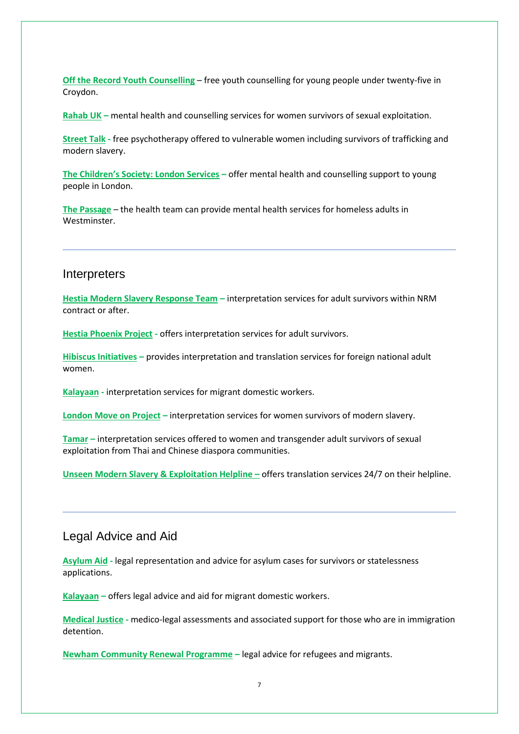**[Off the Record Youth Counselling](#page-25-1)** – free youth counselling for young people under twenty-five in Croydon.

**[Rahab UK](#page-30-0) –** mental health and counselling services for women survivors of sexual exploitation.

**[Street Talk](#page-31-1) -** free psychotherapy offered to vulnerable women including survivors of trafficking and modern slavery.

**[The Children's Society: London Services](#page-27-1) –** offer mental health and counselling support to young people in London.

**[The Passage](#page-28-0)** – the health team can provide mental health services for homeless adults in Westminster.

### <span id="page-6-0"></span>**Interpreters**

**[Hestia Modern Slavery Response Team](#page-20-0) –** interpretation services for adult survivors within NRM [contract or after.](#page-20-1) 

**[Hestia Phoenix Project](#page-20-1) -** offers interpretation services for adult survivors.

**[Hibiscus Initiatives](#page-21-0) –** provides interpretation and translation services for foreign national adult women.

**[Kalayaan](#page-23-0) -** interpretation services for migrant domestic workers.

**[London Move on Project](#page-24-1) –** interpretation services for women survivors of modern slavery.

**[Tamar](#page-32-0) –** interpretation services offered to women and transgender adult survivors of sexual exploitation from Thai and Chinese diaspora communities.

**[Unseen Modern Slavery & Exploitation Helpline](#page-33-0) –** offers translation services 24/7 on their helpline.

### <span id="page-6-1"></span>Legal Advice and Aid

**[Asylum Aid](#page-13-1) -** legal representation and advice for asylum cases for survivors or statelessness applications.

**[Kalayaan](#page-23-0) –** offers legal advice and aid for migrant domestic workers.

**[Medical Justice](#page-29-0) -** medico-legal assessments and associated support for those who are in immigration detention.

**[Newham Community Renewal Programme](#page-27-0) –** legal advice for refugees and migrants.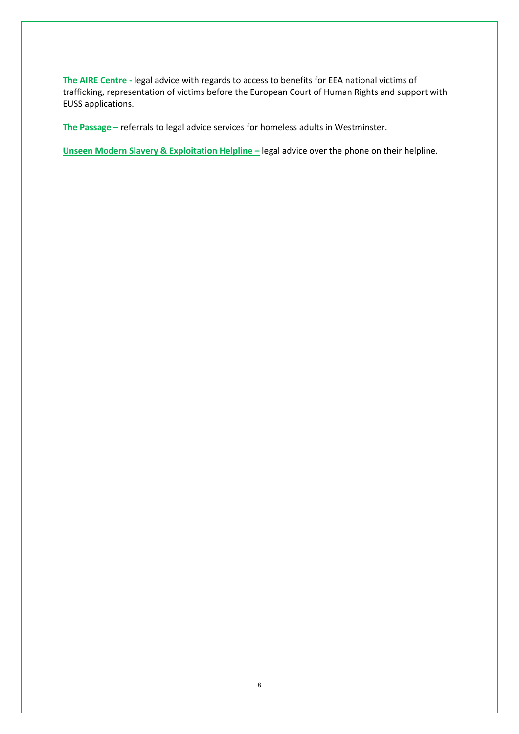**[The AIRE Centre](#page-12-1) -** legal advice with regards to access to benefits for EEA national victims of trafficking, representation of victims before the European Court of Human Rights and support with EUSS applications.

**[The Passage](#page-28-0) –** referrals to legal advice services for homeless adults in Westminster.

**[Unseen Modern Slavery & Exploitation Helpline](#page-33-0) – legal advice over the phone on their helpline.**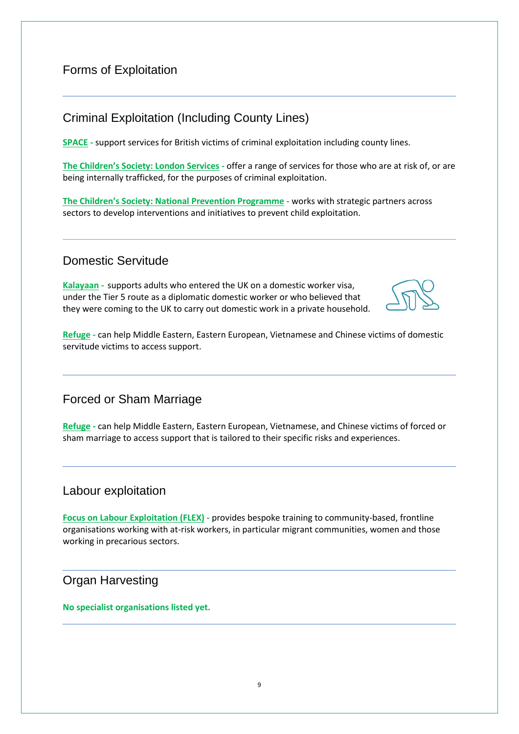# Forms of Exploitation

# <span id="page-8-0"></span>Criminal Exploitation (Including County Lines)

**[SPACE](#page-31-0) -** support services for British victims of criminal exploitation including county lines.

**[The Children's Society: London Services](#page-27-1) -** offer a range of services for those who are at risk of, or are being internally trafficked, for the purposes of criminal exploitation.

**[The Children's Society: National Prevention Programme](#page-27-1) -** works with strategic partners across sectors to develop interventions and initiatives to prevent child exploitation.

# <span id="page-8-1"></span>Domestic Servitude

**[Kalayaan](#page-23-0) -** supports adults who entered the UK on a domestic worker visa, under the Tier 5 route as a diplomatic domestic worker or who believed that they were coming to the UK to carry out domestic work in a private household.



**[Refuge](#page-30-1) -** can help Middle Eastern, Eastern European, Vietnamese and Chinese victims of domestic servitude victims to access support.

<span id="page-8-2"></span>Forced or Sham Marriage

**[Refuge](#page-30-1) -** can help Middle Eastern, Eastern European, Vietnamese, and Chinese victims of forced or sham marriage to access support that is tailored to their specific risks and experiences.

### <span id="page-8-3"></span>Labour exploitation

**[Focus on Labour Exploitation \(FLEX\)](#page-18-0) -** provides bespoke training to community-based, frontline organisations working with at-risk workers, in particular migrant communities, women and those working in precarious sectors.

<span id="page-8-4"></span>Organ Harvesting

**No specialist organisations listed yet.**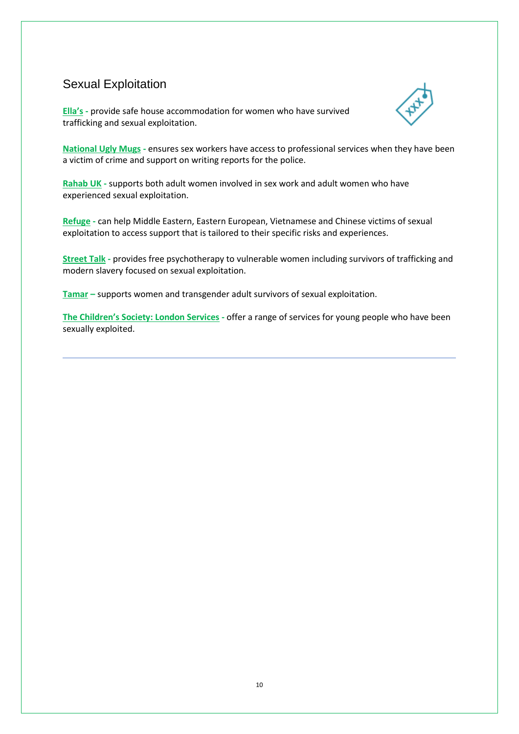# <span id="page-9-0"></span>Sexual Exploitation

**[Ella's](#page-17-0) -** provide safe house accommodation for women who have survived trafficking and sexual exploitation.



**[National Ugly Mugs](#page-26-0) -** ensures sex workers have access to professional services when they have been a victim of crime and support on writing reports for the police.

**[Rahab UK](#page-30-0) -** supports both adult women involved in sex work and adult women who have experienced sexual exploitation.

**[Refuge](#page-30-1) -** can help Middle Eastern, Eastern European, Vietnamese and Chinese victims of sexual exploitation to access support that is tailored to their specific risks and experiences.

**[Street Talk](#page-31-1) -** provides free psychotherapy to vulnerable women including survivors of trafficking and modern slavery focused on sexual exploitation.

**[Tamar](#page-32-0) –** supports women and transgender adult survivors of sexual exploitation.

**[The Children's Society: London Services](#page-27-1) -** offer a range of services for young people who have been sexually exploited.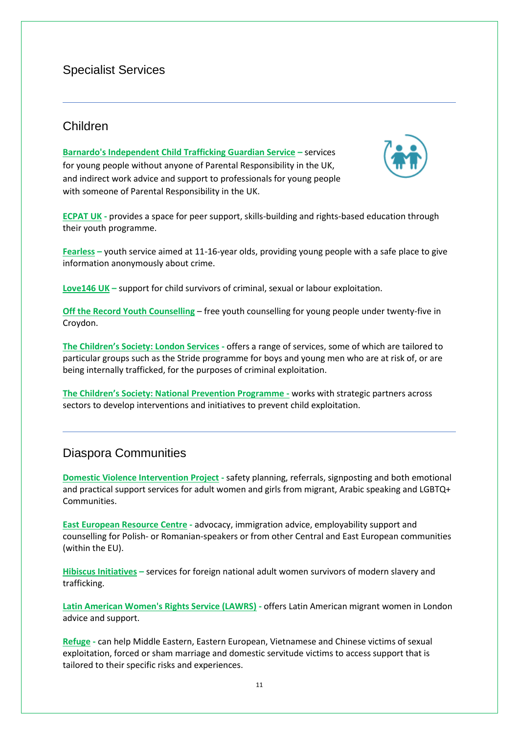# Specialist Services

# <span id="page-10-0"></span>Children

**[Barnardo's Independent Child Trafficking Guardian Service](#page-13-0) –** services for young people without anyone of Parental Responsibility in the UK, and indirect work advice and support to professionals for young people with someone of Parental Responsibility in the UK.



**[ECPAT UK](#page-17-1) -** provides a space for peer support, skills-building and rights-based education through their youth programme.

**[Fearless](#page-18-1) –** youth service aimed at 11-16-year olds, providing young people with a safe place to give information anonymously about crime.

**[Love146 UK](#page-25-0) –** support for child survivors of criminal, sexual or labour exploitation.

**[Off the Record Youth Counselling](#page-25-1)** – free youth counselling for young people under twenty-five in Croydon.

**[The Children's Society: London Services](#page-27-1) -** offers a range of services, some of which are tailored to particular groups such as the Stride programme for boys and young men who are at risk of, or are being internally trafficked, for the purposes of criminal exploitation.

**The C[hildren's Society: National Prevention Programme](#page-27-1) -** works with strategic partners across sectors to develop interventions and initiatives to prevent child exploitation.

# <span id="page-10-1"></span>Diaspora Communities

**[Domestic Violence Intervention Project](#page-16-0) -** safety planning, referrals, signposting and both emotional and practical support services for adult women and girls from migrant, Arabic speaking and LGBTQ+ Communities.

**[East European Resource Centre](#page-16-1) -** advocacy, immigration advice, employability support and counselling for Polish- or Romanian-speakers or from other Central and East European communities (within the EU).

**[Hibiscus Initiatives](#page-21-0) –** services for foreign national adult women survivors of modern slavery and trafficking.

**[Latin American Women's Rights Service \(LAWRS\)](#page-24-0) -** offers Latin American migrant women in London advice and support.

**[Refuge](#page-30-1) -** can help Middle Eastern, Eastern European, Vietnamese and Chinese victims of sexual exploitation, forced or sham marriage and domestic servitude victims to access support that is tailored to their specific risks and experiences.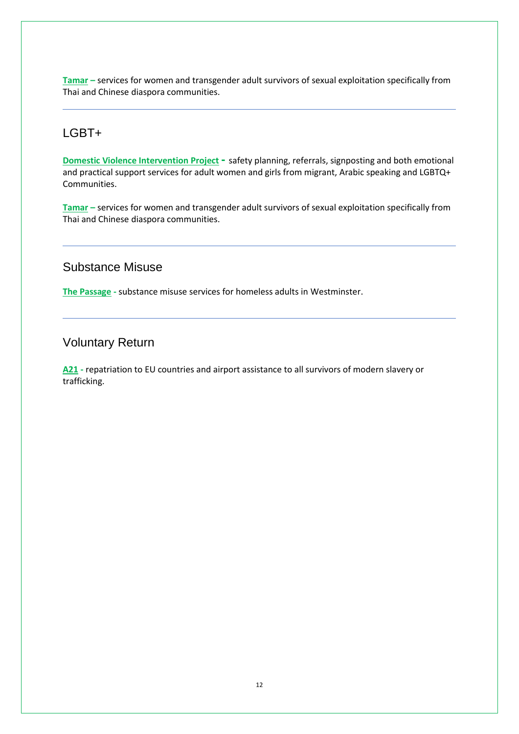**[Tamar](#page-32-0) –** services for women and transgender adult survivors of sexual exploitation specifically from Thai and Chinese diaspora communities.

# <span id="page-11-0"></span>LGBT+

**[Domestic Violence Intervention Project](#page-16-0) -** safety planning, referrals, signposting and both emotional and practical support services for adult women and girls from migrant, Arabic speaking and LGBTQ+ Communities.

**[Tamar](#page-32-0) –** services for women and transgender adult survivors of sexual exploitation specifically from Thai and Chinese diaspora communities.

# <span id="page-11-1"></span>Substance Misuse

**[The Passage](#page-28-0) -** substance misuse services for homeless adults in Westminster.

# <span id="page-11-2"></span>Voluntary Return

**[A21](#page-12-2) -** repatriation to EU countries and airport assistance to all survivors of modern slavery or trafficking.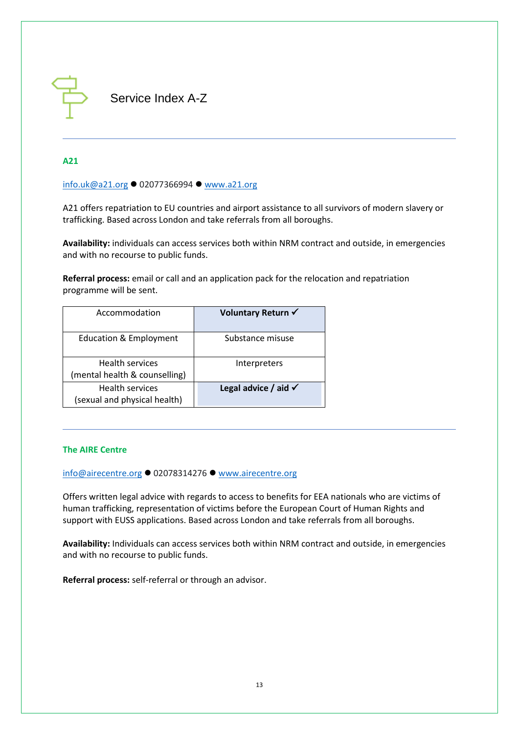

<span id="page-12-0"></span>Service Index A-Z

#### <span id="page-12-2"></span>**A21**

[info.uk@a21.org](mailto:info.uk@a21.org) ⚫ 02077366994 ⚫ [www.a21.org](http://www.a21.org/)

A21 offers repatriation to EU countries and airport assistance to all survivors of modern slavery or trafficking. Based across London and take referrals from all boroughs.

**Availability:** individuals can access services both within NRM contract and outside, in emergencies and with no recourse to public funds.

**Referral process:** email or call and an application pack for the relocation and repatriation programme will be sent.

| Accommodation                                           | Voluntary Return √              |
|---------------------------------------------------------|---------------------------------|
| <b>Education &amp; Employment</b>                       | Substance misuse                |
| <b>Health services</b><br>(mental health & counselling) | Interpreters                    |
| <b>Health services</b><br>(sexual and physical health)  | Legal advice / aid $\checkmark$ |

#### <span id="page-12-1"></span>**The AIRE Centre**

[info@airecentre.org](mailto:info@airecentre.org) ⚫ 02078314276 ⚫ [www.airecentre.org](http://www.airecentre.org/)

Offers written legal advice with regards to access to benefits for EEA nationals who are victims of human trafficking, representation of victims before the European Court of Human Rights and support with EUSS applications. Based across London and take referrals from all boroughs.

**Availability:** Individuals can access services both within NRM contract and outside, in emergencies and with no recourse to public funds.

**Referral process:** self-referral or through an advisor.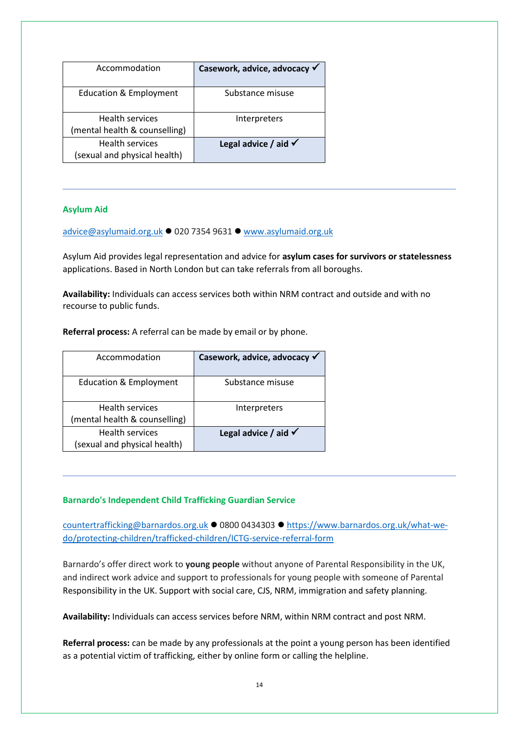| Accommodation                                           | Casework, advice, advocacy √    |
|---------------------------------------------------------|---------------------------------|
| <b>Education &amp; Employment</b>                       | Substance misuse                |
| <b>Health services</b><br>(mental health & counselling) | Interpreters                    |
| <b>Health services</b><br>(sexual and physical health)  | Legal advice / aid $\checkmark$ |

#### <span id="page-13-1"></span>**Asylum Aid**

[advice@asylumaid.org.uk](mailto:advice@asylumaid.org.uk) ⚫ 020 7354 9631 ⚫ [www.asylumaid.org.uk](http://www.asylumaid.org.uk/)

Asylum Aid provides legal representation and advice for **asylum cases for survivors or statelessness** applications. Based in North London but can take referrals from all boroughs.

**Availability:** Individuals can access services both within NRM contract and outside and with no recourse to public funds.

**Referral process:** A referral can be made by email or by phone.

| Accommodation                                           | Casework, advice, advocacy √    |
|---------------------------------------------------------|---------------------------------|
| <b>Education &amp; Employment</b>                       | Substance misuse                |
| <b>Health services</b><br>(mental health & counselling) | Interpreters                    |
| <b>Health services</b><br>(sexual and physical health)  | Legal advice / aid $\checkmark$ |

#### <span id="page-13-0"></span>**Barnardo's Independent Child Trafficking Guardian Service**

[countertrafficking@barnardos.org.uk](mailto:countertrafficking@barnardos.org.uk) ⚫ 0800 0434303 ⚫ [https://www.barnardos.org.uk/what-we](https://www.barnardos.org.uk/what-we-do/protecting-children/trafficked-children/ICTG-service-referral-form)[do/protecting-children/trafficked-children/ICTG-service-referral-form](https://www.barnardos.org.uk/what-we-do/protecting-children/trafficked-children/ICTG-service-referral-form)

Barnardo's offer direct work to **young people** without anyone of Parental Responsibility in the UK, and indirect work advice and support to professionals for young people with someone of Parental Responsibility in the UK. Support with social care, CJS, NRM, immigration and safety planning.

**Availability:** Individuals can access services before NRM, within NRM contract and post NRM.

**Referral process:** can be made by any professionals at the point a young person has been identified as a potential victim of trafficking, either by online form or calling the helpline.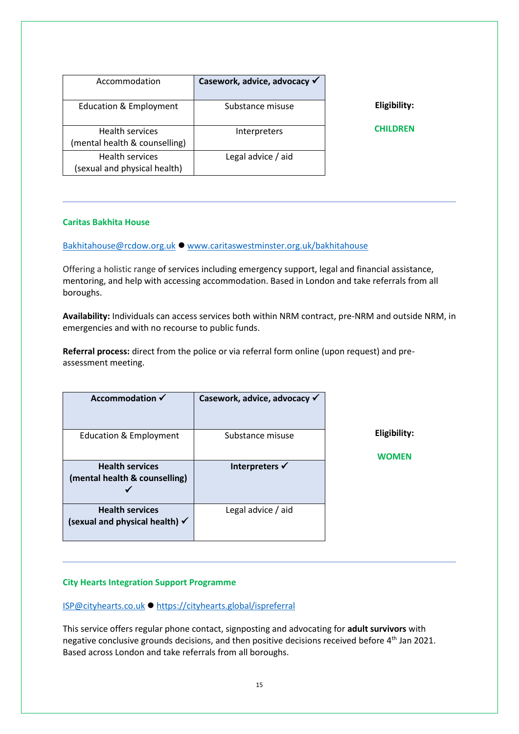| Accommodation                                           | Casework, advice, advocacy √ |                 |
|---------------------------------------------------------|------------------------------|-----------------|
| <b>Education &amp; Employment</b>                       | Substance misuse             | Eligibility:    |
| <b>Health services</b><br>(mental health & counselling) | Interpreters                 | <b>CHILDREN</b> |
| <b>Health services</b><br>(sexual and physical health)  | Legal advice / aid           |                 |

#### <span id="page-14-0"></span>**Caritas Bakhita House**

[Bakhitahouse@rcdow.org.uk](mailto:Bakhitahouse@rcdow.org.uk) ⚫ [www.caritaswestminster.org.uk/bakhitahouse](http://www.caritaswestminster.org.uk/bakhitahouse)

Offering a holistic range of services including emergency support, legal and financial assistance, mentoring, and help with accessing accommodation. Based in London and take referrals from all boroughs.

**Availability:** Individuals can access services both within NRM contract, pre-NRM and outside NRM, in emergencies and with no recourse to public funds.

**Referral process:** direct from the police or via referral form online (upon request) and preassessment meeting.

| Accommodation $\checkmark$                                          | Casework, advice, advocacy √ |                                     |
|---------------------------------------------------------------------|------------------------------|-------------------------------------|
| <b>Education &amp; Employment</b>                                   | Substance misuse             | <b>Eligibility:</b><br><b>WOMEN</b> |
| <b>Health services</b><br>(mental health & counselling)             | Interpreters $\checkmark$    |                                     |
| <b>Health services</b><br>(sexual and physical health) $\checkmark$ | Legal advice / aid           |                                     |

#### <span id="page-14-1"></span>**City Hearts Integration Support Programme**

#### [ISP@cityhearts.co.uk](mailto:ISP@cityhearts.co.uk) ⚫ <https://cityhearts.global/ispreferral>

This service offers regular phone contact, signposting and advocating for **adult survivors** with negative conclusive grounds decisions, and then positive decisions received before 4<sup>th</sup> Jan 2021. Based across London and take referrals from all boroughs.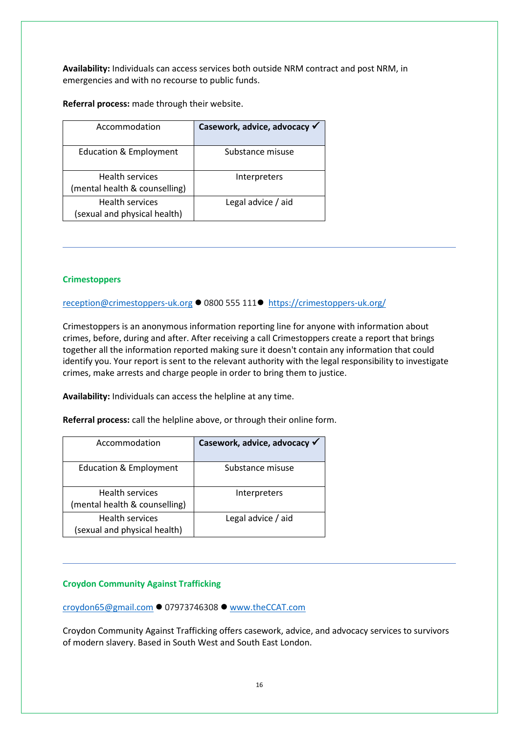**Availability:** Individuals can access services both outside NRM contract and post NRM, in emergencies and with no recourse to public funds.

**Referral process:** made through their website.

| Accommodation                                           | Casework, advice, advocacy √ |
|---------------------------------------------------------|------------------------------|
| <b>Education &amp; Employment</b>                       | Substance misuse             |
| <b>Health services</b><br>(mental health & counselling) | Interpreters                 |
| <b>Health services</b><br>(sexual and physical health)  | Legal advice / aid           |

#### **Crimestoppers**

[reception@crimestoppers-uk.org](mailto:reception@crimestoppers-uk.org) ⚫ 0800 555 111⚫ <https://crimestoppers-uk.org/>

Crimestoppers is an anonymous information reporting line for anyone with information about crimes, before, during and after. After receiving a call Crimestoppers create a report that brings together all the information reported making sure it doesn't contain any information that could identify you. Your report is sent to the relevant authority with the legal responsibility to investigate crimes, make arrests and charge people in order to bring them to justice.

**Availability:** Individuals can access the helpline at any time.

**Referral process:** call the helpline above, or through their online form.

| Accommodation                                           | Casework, advice, advocacy √ |
|---------------------------------------------------------|------------------------------|
| <b>Education &amp; Employment</b>                       | Substance misuse             |
| <b>Health services</b><br>(mental health & counselling) | Interpreters                 |
| <b>Health services</b><br>(sexual and physical health)  | Legal advice / aid           |

#### <span id="page-15-0"></span>**Croydon Community Against Trafficking**

[croydon65@gmail.com](mailto:croydon65@gmail.com) ⚫ 07973746308 ⚫ [www.theCCAT.com](http://www.theccat.com/)

Croydon Community Against Trafficking offers casework, advice, and advocacy services to survivors of modern slavery. Based in South West and South East London.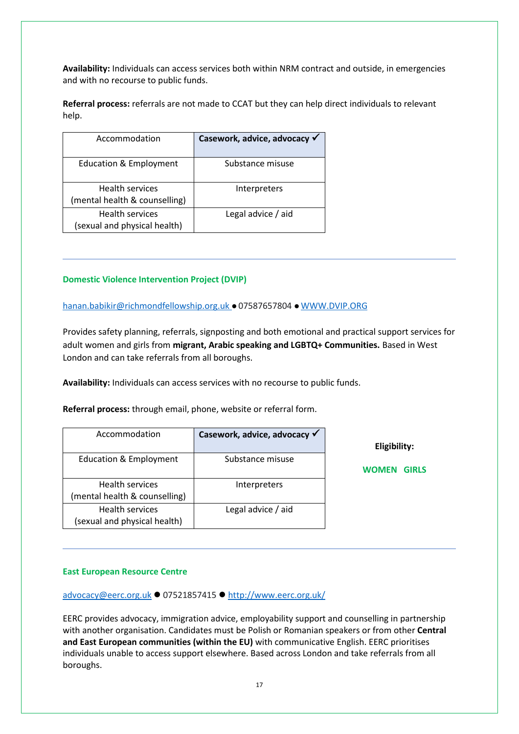**Availability:** Individuals can access services both within NRM contract and outside, in emergencies and with no recourse to public funds.

**Referral process:** referrals are not made to CCAT but they can help direct individuals to relevant help.

| Accommodation                                           | Casework, advice, advocacy √ |
|---------------------------------------------------------|------------------------------|
| <b>Education &amp; Employment</b>                       | Substance misuse             |
| <b>Health services</b><br>(mental health & counselling) | Interpreters                 |
| <b>Health services</b><br>(sexual and physical health)  | Legal advice / aid           |

#### <span id="page-16-0"></span>**Domestic Violence Intervention Project (DVIP)**

[hanan.babikir@richmondfellowship.org.uk](mailto:hanan.babikir@richmondfellowship.org.uk) ⚫ 07587657804 ⚫ [WWW.DVIP.ORG](http://www.dvip.org/)

Provides safety planning, referrals, signposting and both emotional and practical support services for adult women and girls from **migrant, Arabic speaking and LGBTQ+ Communities.** Based in West London and can take referrals from all boroughs.

**Availability:** Individuals can access services with no recourse to public funds.

**Referral process:** through email, phone, website or referral form.

| Accommodation                                           | Casework, advice, advocacy √ | Eligibility:                 |
|---------------------------------------------------------|------------------------------|------------------------------|
| Education & Employment                                  | Substance misuse             | <b>WOMEN</b><br><b>GIRLS</b> |
| <b>Health services</b><br>(mental health & counselling) | Interpreters                 |                              |
| <b>Health services</b><br>(sexual and physical health)  | Legal advice / aid           |                              |

#### <span id="page-16-1"></span>**East European Resource Centre**

[advocacy@eerc.org.uk](mailto:advocacy@eerc.org.uk) ⚫ 07521857415 ⚫ <http://www.eerc.org.uk/>

EERC provides advocacy, immigration advice, employability support and counselling in partnership with another organisation. Candidates must be Polish or Romanian speakers or from other **Central and East European communities (within the EU)** with communicative English. EERC prioritises individuals unable to access support elsewhere. Based across London and take referrals from all boroughs.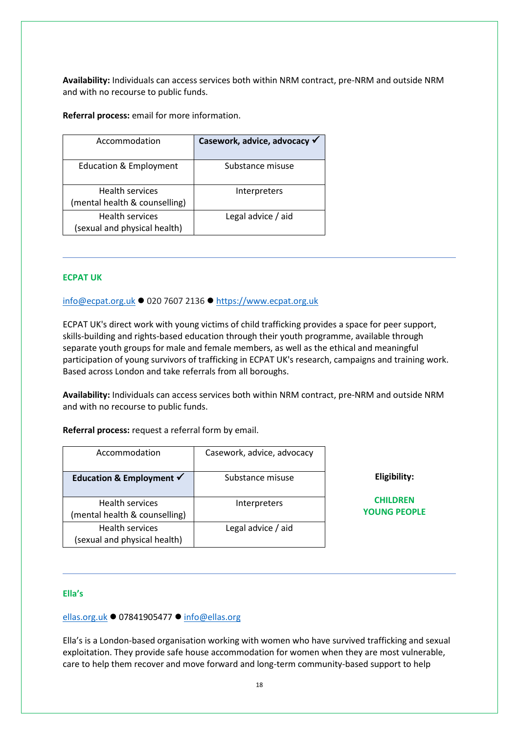**Availability:** Individuals can access services both within NRM contract, pre-NRM and outside NRM and with no recourse to public funds.

**Referral process:** email for more information.

| Accommodation                                           | Casework, advice, advocacy √ |
|---------------------------------------------------------|------------------------------|
| <b>Education &amp; Employment</b>                       | Substance misuse             |
| <b>Health services</b><br>(mental health & counselling) | Interpreters                 |
| <b>Health services</b><br>(sexual and physical health)  | Legal advice / aid           |

#### <span id="page-17-1"></span>**ECPAT UK**

[info@ecpat.org.uk](mailto:info@ecpat.org.uk) ⚫ 020 7607 2136 ⚫ [https://www.ecpat.org.uk](https://www.ecpat.org.uk/)

ECPAT UK's direct work with young victims of child trafficking provides a space for peer support, skills-building and rights-based education through their youth programme, available through separate youth groups for male and female members, as well as the ethical and meaningful participation of young survivors of trafficking in ECPAT UK's research, campaigns and training work. Based across London and take referrals from all boroughs.

**Availability:** Individuals can access services both within NRM contract, pre-NRM and outside NRM and with no recourse to public funds.

**Referral process:** request a referral form by email.

| Accommodation                                           | Casework, advice, advocacy |                                        |
|---------------------------------------------------------|----------------------------|----------------------------------------|
| Education & Employment $\checkmark$                     | Substance misuse           | Eligibility:                           |
| <b>Health services</b><br>(mental health & counselling) | Interpreters               | <b>CHILDREN</b><br><b>YOUNG PEOPLE</b> |
| <b>Health services</b><br>(sexual and physical health)  | Legal advice / aid         |                                        |

#### <span id="page-17-0"></span>**Ella's**

#### [ellas.org.uk](https://www.ellas.org.uk/) ⚫ 07841905477 ⚫ [info@ellas.org](mailto:info@ellas.org)

Ella's is a London-based organisation working with women who have survived trafficking and sexual exploitation. They provide safe house accommodation for women when they are most vulnerable, care to help them recover and move forward and long-term community-based support to help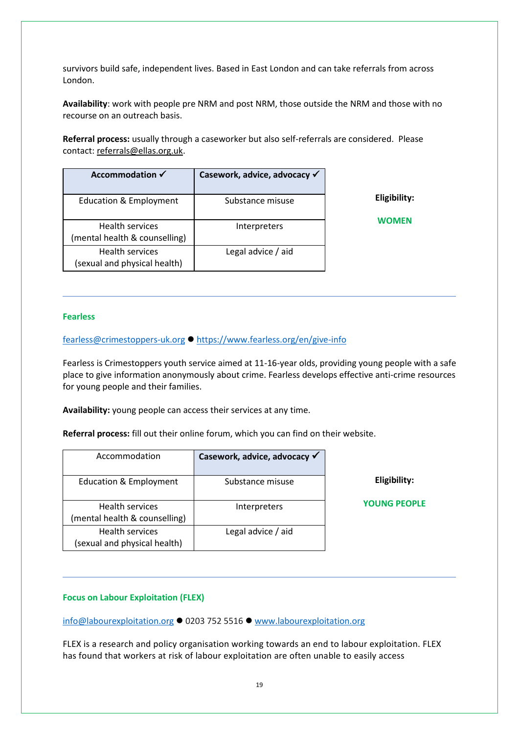survivors build safe, independent lives. Based in East London and can take referrals from across London.

**Availability**: work with people pre NRM and post NRM, those outside the NRM and those with no recourse on an outreach basis.

**Referral process:** usually through a caseworker but also self-referrals are considered. Please contact: [referrals@ellas.org.uk.](mailto:referrals@ellas.org.uk)

| Accommodation √                                         | Casework, advice, advocacy √ |              |
|---------------------------------------------------------|------------------------------|--------------|
| <b>Education &amp; Employment</b>                       | Substance misuse             | Eligibility: |
| <b>Health services</b><br>(mental health & counselling) | Interpreters                 | <b>WOMEN</b> |
| <b>Health services</b><br>(sexual and physical health)  | Legal advice / aid           |              |

#### <span id="page-18-1"></span>**Fearless**

[fearless@crimestoppers-uk.org](mailto:fearless@crimestoppers-uk.org) ⚫ <https://www.fearless.org/en/give-info>

Fearless is Crimestoppers youth service aimed at 11-16-year olds, providing young people with a safe place to give information anonymously about crime. Fearless develops effective anti-crime resources for young people and their families.

**Availability:** young people can access their services at any time.

**Referral process:** fill out their online forum, which you can find on their website.

| Accommodation                                          | Casework, advice, advocacy √ |                     |
|--------------------------------------------------------|------------------------------|---------------------|
| <b>Education &amp; Employment</b>                      | Substance misuse             | Eligibility:        |
| Health services<br>(mental health & counselling)       | Interpreters                 | <b>YOUNG PEOPLE</b> |
| <b>Health services</b><br>(sexual and physical health) | Legal advice / aid           |                     |

#### <span id="page-18-0"></span>**Focus on Labour Exploitation (FLEX)**

[info@labourexploitation.org](mailto:info@labourexploitation.org) ⚫ 0203 752 5516 ⚫ [www.labourexploitation.org](http://www.labourexploitation.org/)

FLEX is a research and policy organisation working towards an end to labour exploitation. FLEX has found that workers at risk of labour exploitation are often unable to easily access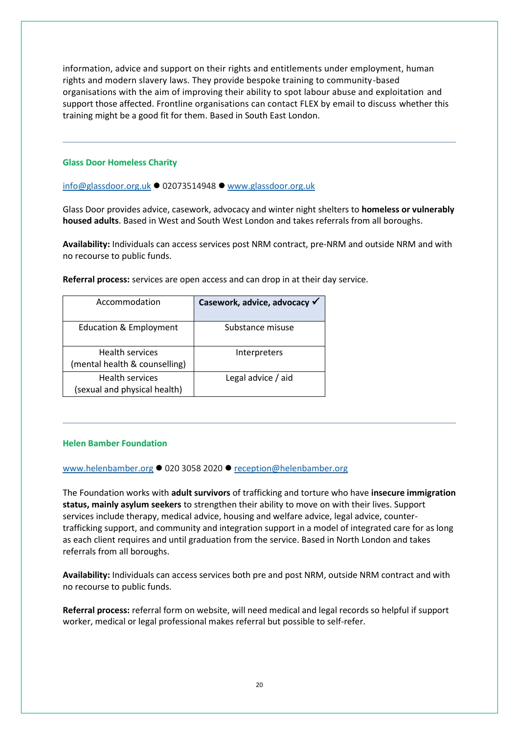information, advice and support on their rights and entitlements under employment, human rights and modern slavery laws. They provide bespoke training to community-based organisations with the aim of improving their ability to spot labour abuse and exploitation and support those affected. Frontline organisations can contact FLEX by email to discuss whether this training might be a good fit for them. Based in South East London.

#### <span id="page-19-0"></span>**Glass Door Homeless Charity**

[info@glassdoor.org.uk](mailto:info@glassdoor.org.uk) ⚫ 02073514948 ⚫ [www.glassdoor.org.uk](http://www.glassdoor.org.uk/)

Glass Door provides advice, casework, advocacy and winter night shelters to **homeless or vulnerably housed adults**. Based in West and South West London and takes referrals from all boroughs.

**Availability:** Individuals can access services post NRM contract, pre-NRM and outside NRM and with no recourse to public funds.

**Referral process:** services are open access and can drop in at their day service.

| Accommodation                                           | Casework, advice, advocacy √ |
|---------------------------------------------------------|------------------------------|
| <b>Education &amp; Employment</b>                       | Substance misuse             |
| <b>Health services</b><br>(mental health & counselling) | Interpreters                 |
| <b>Health services</b><br>(sexual and physical health)  | Legal advice / aid           |

#### <span id="page-19-1"></span>**Helen Bamber Foundation**

[www.helenbamber.org](http://www.helenbamber.org/) ⚫ 020 3058 2020 ⚫ [reception@helenbamber.org](mailto:reception@helenbamber.org)

The Foundation works with **adult survivors** of trafficking and torture who have **insecure immigration status, mainly asylum seekers** to strengthen their ability to move on with their lives. Support services include therapy, medical advice, housing and welfare advice, legal advice, countertrafficking support, and community and integration support in a model of integrated care for as long as each client requires and until graduation from the service. Based in North London and takes referrals from all boroughs.

**Availability:** Individuals can access services both pre and post NRM, outside NRM contract and with no recourse to public funds.

**Referral process:** referral form on website, will need medical and legal records so helpful if support worker, medical or legal professional makes referral but possible to self-refer.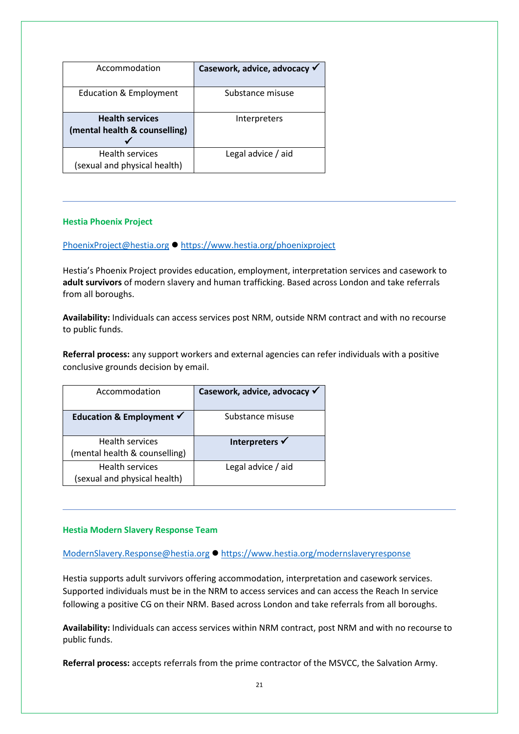| Accommodation                                           | Casework, advice, advocacy √ |
|---------------------------------------------------------|------------------------------|
| <b>Education &amp; Employment</b>                       | Substance misuse             |
| <b>Health services</b><br>(mental health & counselling) | Interpreters                 |
| <b>Health services</b><br>(sexual and physical health)  | Legal advice / aid           |

#### <span id="page-20-1"></span>**Hestia Phoenix Project**

#### [PhoenixProject@hestia.org](mailto:PhoenixProject@hestia.org) ⚫ <https://www.hestia.org/phoenixproject>

Hestia's Phoenix Project provides education, employment, interpretation services and casework to **adult survivors** of modern slavery and human trafficking. Based across London and take referrals from all boroughs.

**Availability:** Individuals can access services post NRM, outside NRM contract and with no recourse to public funds.

**Referral process:** any support workers and external agencies can refer individuals with a positive conclusive grounds decision by email.

| Accommodation                                           | Casework, advice, advocacy √ |
|---------------------------------------------------------|------------------------------|
| Education & Employment $\checkmark$                     | Substance misuse             |
| <b>Health services</b><br>(mental health & counselling) | Interpreters √               |
| <b>Health services</b><br>(sexual and physical health)  | Legal advice / aid           |

#### <span id="page-20-0"></span>**Hestia Modern Slavery Response Team**

[ModernSlavery.Response@hestia.org](mailto:ModernSlavery.Response@hestia.org) ⚫ <https://www.hestia.org/modernslaveryresponse>

Hestia supports adult survivors offering accommodation, interpretation and casework services. Supported individuals must be in the NRM to access services and can access the Reach In service following a positive CG on their NRM. Based across London and take referrals from all boroughs.

**Availability:** Individuals can access services within NRM contract, post NRM and with no recourse to public funds.

**Referral process:** accepts referrals from the prime contractor of the MSVCC, the Salvation Army.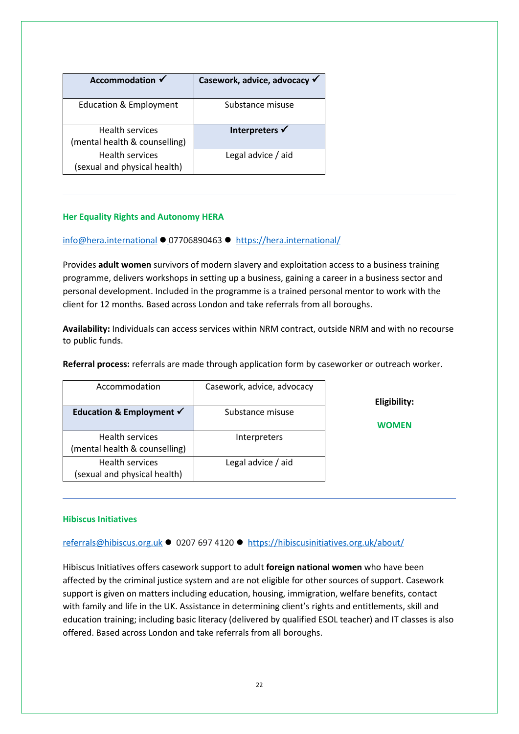| Accommodation √                                         | Casework, advice, advocacy √ |
|---------------------------------------------------------|------------------------------|
| <b>Education &amp; Employment</b>                       | Substance misuse             |
| <b>Health services</b><br>(mental health & counselling) | Interpreters √               |
| <b>Health services</b><br>(sexual and physical health)  | Legal advice / aid           |

#### <span id="page-21-1"></span>**Her Equality Rights and Autonomy HERA**

[info@hera.international](mailto:info@hera.international) ⚫ 07706890463 ⚫ <https://hera.international/>

Provides **adult women** survivors of modern slavery and exploitation access to a business training programme, delivers workshops in setting up a business, gaining a career in a business sector and personal development. Included in the programme is a trained personal mentor to work with the client for 12 months. Based across London and take referrals from all boroughs.

**Availability:** Individuals can access services within NRM contract, outside NRM and with no recourse to public funds.

**Referral process:** referrals are made through application form by caseworker or outreach worker.

| Accommodation                                           | Casework, advice, advocacy |
|---------------------------------------------------------|----------------------------|
| Education & Employment $\checkmark$                     | Substance misuse           |
| <b>Health services</b><br>(mental health & counselling) | Interpreters               |
| <b>Health services</b><br>(sexual and physical health)  | Legal advice / aid         |

**Eligibility:**

**WOMEN** 

#### <span id="page-21-0"></span>**Hibiscus Initiatives**

[referrals@hibiscus.org.uk](mailto:referrals@hibiscus.org.uk) ⚫ 0207 697 4120 ⚫ <https://hibiscusinitiatives.org.uk/about/>

Hibiscus Initiatives offers casework support to adult **foreign national women** who have been affected by the criminal justice system and are not eligible for other sources of support. Casework support is given on matters including education, housing, immigration, welfare benefits, contact with family and life in the UK. Assistance in determining client's rights and entitlements, skill and education training; including basic literacy (delivered by qualified ESOL teacher) and IT classes is also offered. Based across London and take referrals from all boroughs.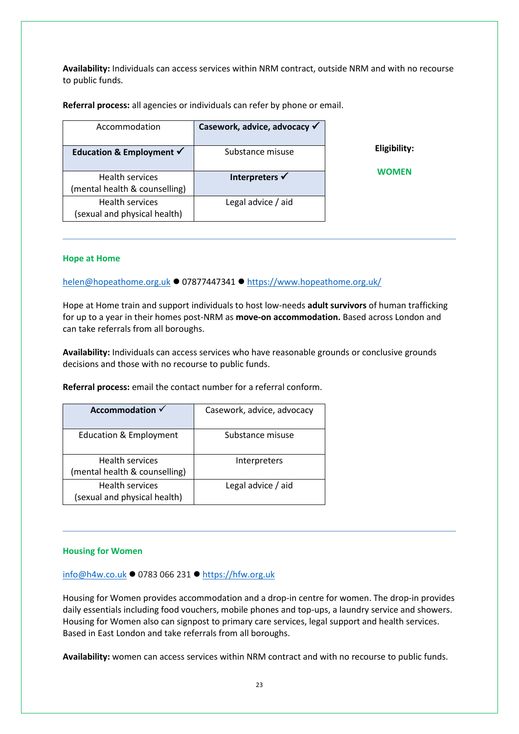**Availability:** Individuals can access services within NRM contract, outside NRM and with no recourse to public funds.

**Referral process:** all agencies or individuals can refer by phone or email.

| Accommodation                                           | Casework, advice, advocacy √ |              |
|---------------------------------------------------------|------------------------------|--------------|
| Education & Employment $\checkmark$                     | Substance misuse             | Eligibility: |
| <b>Health services</b><br>(mental health & counselling) | Interpreters √               | WOMEN        |
| <b>Health services</b><br>(sexual and physical health)  | Legal advice / aid           |              |

#### <span id="page-22-0"></span>**Hope at Home**

[helen@hopeathome.org.uk](mailto:helen@hopeathome.org.uk) ⚫ 07877447341 ⚫ <https://www.hopeathome.org.uk/>

Hope at Home train and support individuals to host low-needs **adult survivors** of human trafficking for up to a year in their homes post-NRM as **move-on accommodation.** Based across London and can take referrals from all boroughs.

**Availability:** Individuals can access services who have reasonable grounds or conclusive grounds decisions and those with no recourse to public funds.

**Referral process:** email the contact number for a referral conform.

| Accommodation $\checkmark$                              | Casework, advice, advocacy |
|---------------------------------------------------------|----------------------------|
| <b>Education &amp; Employment</b>                       | Substance misuse           |
| <b>Health services</b><br>(mental health & counselling) | Interpreters               |
| <b>Health services</b><br>(sexual and physical health)  | Legal advice / aid         |

#### <span id="page-22-1"></span>**Housing for Women**

[info@h4w.co.uk](mailto:info@h4w.co.uk) ⚫ 0783 066 231 ⚫ [https://hfw.org.uk](https://hfw.org.uk/)

Housing for Women provides accommodation and a drop-in centre for women. The drop-in provides daily essentials including food vouchers, mobile phones and top-ups, a laundry service and showers. Housing for Women also can signpost to primary care services, legal support and health services. Based in East London and take referrals from all boroughs.

**Availability:** women can access services within NRM contract and with no recourse to public funds.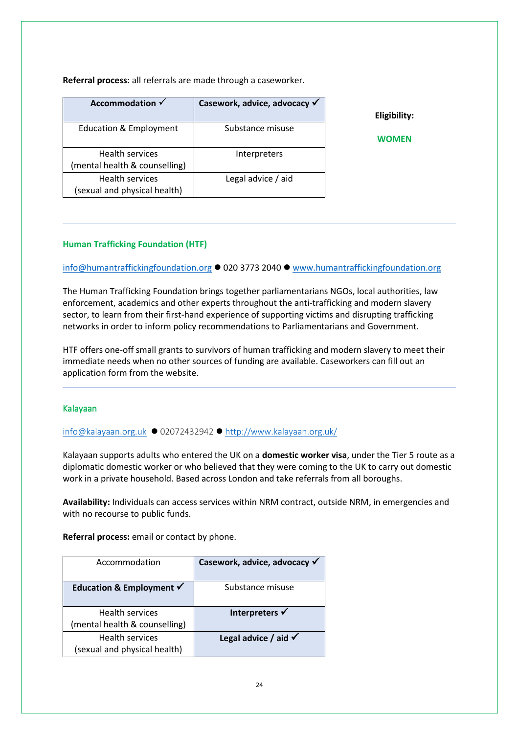**Referral process:** all referrals are made through a caseworker.

| Accommodation √               | Casework, advice, advocacy √ |              |
|-------------------------------|------------------------------|--------------|
|                               |                              | Eligibility: |
| Education & Employment        | Substance misuse             |              |
|                               |                              | WOMEN        |
| Health services               | Interpreters                 |              |
| (mental health & counselling) |                              |              |
| Health services               | Legal advice / aid           |              |
| (sexual and physical health)  |                              |              |

#### **Human Trafficking Foundation (HTF)**

[info@humantraffickingfoundation.org](mailto:info@humantraffickingfoundation.org) ⚫ 020 3773 2040 ⚫ [www.humantraffickingfoundation.org](http://www.humantraffickingfoundation.org/)

The Human Trafficking Foundation brings together parliamentarians NGOs, local authorities, law enforcement, academics and other experts throughout the anti-trafficking and modern slavery sector, to learn from their first-hand experience of supporting victims and disrupting trafficking networks in order to inform policy recommendations to Parliamentarians and Government.

HTF offers one-off small grants to survivors of human trafficking and modern slavery to meet their immediate needs when no other sources of funding are available. Caseworkers can fill out an application form from the website.

#### <span id="page-23-0"></span>Kalayaan

[info@kalayaan.org.uk](mailto:info@kalayaan.org.uk) ⚫ 02072432942 ⚫ <http://www.kalayaan.org.uk/>

Kalayaan supports adults who entered the UK on a **domestic worker visa**, under the Tier 5 route as a diplomatic domestic worker or who believed that they were coming to the UK to carry out domestic work in a private household. Based across London and take referrals from all boroughs.

**Availability:** Individuals can access services within NRM contract, outside NRM, in emergencies and with no recourse to public funds.

**Referral process:** email or contact by phone.

| Accommodation                                           | Casework, advice, advocacy √    |
|---------------------------------------------------------|---------------------------------|
| Education & Employment $\checkmark$                     | Substance misuse                |
| <b>Health services</b><br>(mental health & counselling) | Interpreters √                  |
| <b>Health services</b><br>(sexual and physical health)  | Legal advice / aid $\checkmark$ |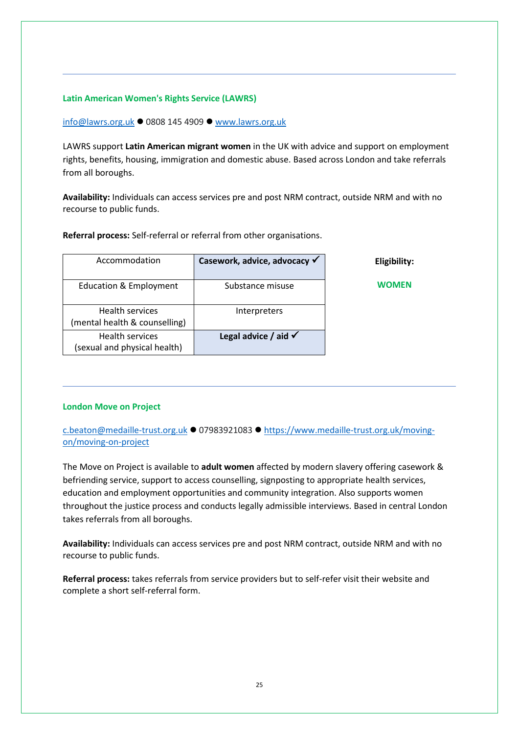#### <span id="page-24-0"></span>**Latin American Women's Rights Service (LAWRS)**

[info@lawrs.org.uk](mailto:info@lawrs.org.uk) ⚫ 0808 145 4909 ⚫ [www.lawrs.org.uk](http://www.lawrs.org.uk/)

LAWRS support **Latin American migrant women** in the UK with advice and support on employment rights, benefits, housing, immigration and domestic abuse. Based across London and take referrals from all boroughs.

**Availability:** Individuals can access services pre and post NRM contract, outside NRM and with no recourse to public funds.

**Referral process:** Self-referral or referral from other organisations.

| Accommodation                                          | Casework, advice, advocacy √    | Eligibility: |
|--------------------------------------------------------|---------------------------------|--------------|
| Education & Employment                                 | Substance misuse                | WOMEN        |
| Health services<br>(mental health & counselling)       | Interpreters                    |              |
| <b>Health services</b><br>(sexual and physical health) | Legal advice / aid $\checkmark$ |              |

#### <span id="page-24-1"></span>**London Move on Project**

[c.beaton@medaille-trust.org.uk](mailto:c.beaton@medaille-trust.org.uk) ⚫ 07983921083 ⚫ [https://www.medaille-trust.org.uk/moving](https://www.medaille-trust.org.uk/moving-on/moving-on-project)[on/moving-on-project](https://www.medaille-trust.org.uk/moving-on/moving-on-project)

The Move on Project is available to **adult women** affected by modern slavery offering casework & befriending service, support to access counselling, signposting to appropriate health services, education and employment opportunities and community integration. Also supports women throughout the justice process and conducts legally admissible interviews. Based in central London takes referrals from all boroughs.

**Availability:** Individuals can access services pre and post NRM contract, outside NRM and with no recourse to public funds.

**Referral process:** takes referrals from service providers but to self-refer visit their website and complete a short self-referral form.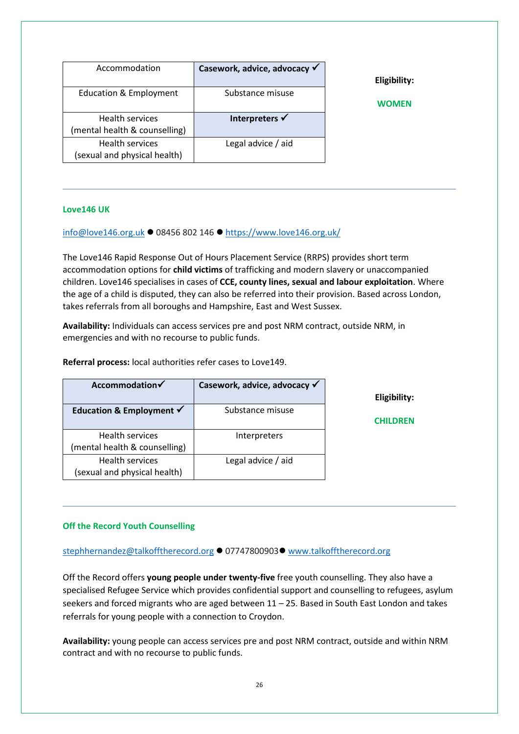| Accommodation                                           | Casework, advice, advocacy √ | Eligibility: |
|---------------------------------------------------------|------------------------------|--------------|
| Education & Employment                                  | Substance misuse             | <b>WOMEN</b> |
| <b>Health services</b><br>(mental health & counselling) | Interpreters <del>√</del>    |              |
| Health services<br>(sexual and physical health)         | Legal advice / aid           |              |

#### <span id="page-25-0"></span>**Love146 UK**

[info@love146.org.uk](mailto:info@love146.org.uk) ⚫ 08456 802 146 ⚫ <https://www.love146.org.uk/>

The Love146 Rapid Response Out of Hours Placement Service (RRPS) provides short term accommodation options for **child victims** of trafficking and modern slavery or unaccompanied children. Love146 specialises in cases of **CCE, county lines, sexual and labour exploitation**. Where the age of a child is disputed, they can also be referred into their provision. Based across London, takes referrals from all boroughs and Hampshire, East and West Sussex.

**Availability:** Individuals can access services pre and post NRM contract, outside NRM, in emergencies and with no recourse to public funds.

**Referral process:** local authorities refer cases to Love149.

| Accommodation√                                          | Casework, advice, advocacy √ |
|---------------------------------------------------------|------------------------------|
| Education & Employment $\checkmark$                     | Substance misuse             |
| <b>Health services</b><br>(mental health & counselling) | Interpreters                 |
| <b>Health services</b><br>(sexual and physical health)  | Legal advice / aid           |

**Eligibility:**

**CHILDREN** 

#### <span id="page-25-1"></span>**Off the Record Youth Counselling**

[stephhernandez@talkofftherecord.org](mailto:stephhernandez@talkofftherecord.org) ● 07747800903● [www.talkofftherecord.org](http://www.talkofftherecord.org/)

Off the Record offers **young people under twenty-five** free youth counselling. They also have a specialised Refugee Service which provides confidential support and counselling to refugees, asylum seekers and forced migrants who are aged between 11 – 25. Based in South East London and takes referrals for young people with a connection to Croydon.

**Availability:** young people can access services pre and post NRM contract, outside and within NRM contract and with no recourse to public funds.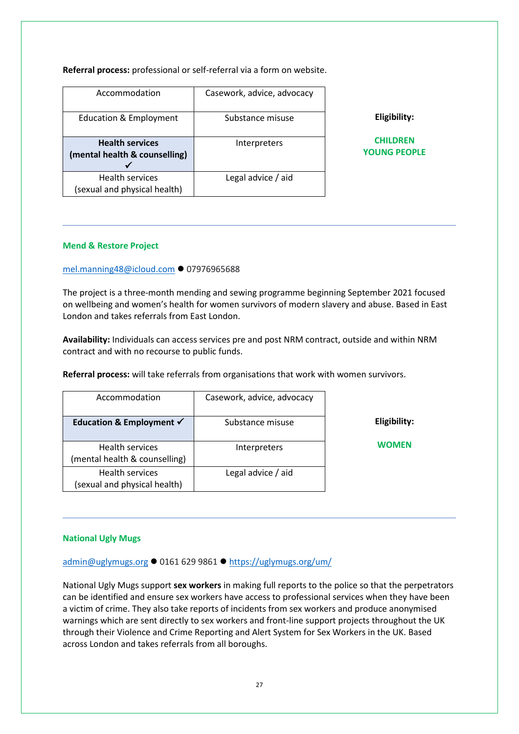**Referral process:** professional or self-referral via a form on website.

| Accommodation                                           | Casework, advice, advocacy |                                        |
|---------------------------------------------------------|----------------------------|----------------------------------------|
| Education & Employment                                  | Substance misuse           | Eligibility:                           |
| <b>Health services</b><br>(mental health & counselling) | Interpreters               | <b>CHILDREN</b><br><b>YOUNG PEOPLE</b> |
| <b>Health services</b><br>(sexual and physical health)  | Legal advice / aid         |                                        |

#### **Mend & Restore Project**

#### [mel.manning48@icloud.com](mailto:mel.manning48@icloud.com) ⚫ 07976965688

The project is a three-month mending and sewing programme beginning September 2021 focused on wellbeing and women's health for women survivors of modern slavery and abuse. Based in East London and takes referrals from East London.

**Availability:** Individuals can access services pre and post NRM contract, outside and within NRM contract and with no recourse to public funds.

**Referral process:** will take referrals from organisations that work with women survivors.

| Accommodation                                           | Casework, advice, advocacy |
|---------------------------------------------------------|----------------------------|
| Education & Employment $\checkmark$                     | Substance misuse           |
| <b>Health services</b><br>(mental health & counselling) | Interpreters               |
| <b>Health services</b><br>(sexual and physical health)  | Legal advice / aid         |

**Eligibility:**

**WOMEN**

#### <span id="page-26-0"></span>**National Ugly Mugs**

[admin@uglymugs.org](mailto:admin@uglymugs.org) ⚫ 0161 629 9861 ⚫ <https://uglymugs.org/um/>

National Ugly Mugs support **sex workers** in making full reports to the police so that the perpetrators can be identified and ensure sex workers have access to professional services when they have been a victim of crime. They also take reports of incidents from sex workers and produce anonymised warnings which are sent directly to sex workers and front-line support projects throughout the UK through their Violence and Crime Reporting and Alert System for Sex Workers in the UK. Based across London and takes referrals from all boroughs.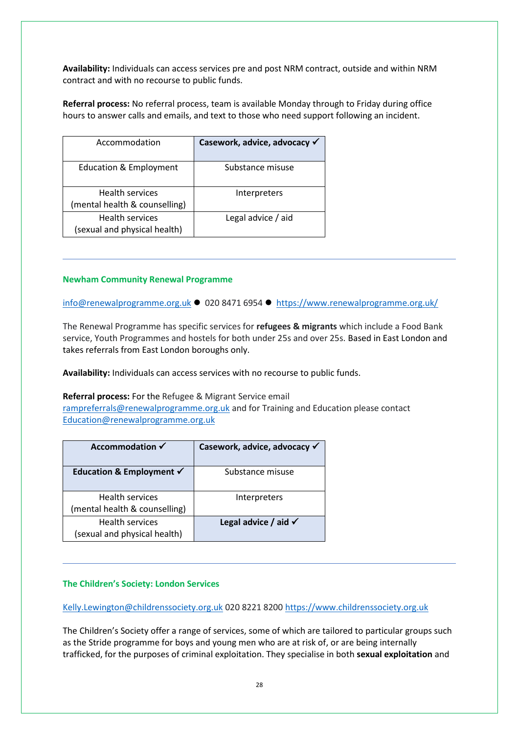**Availability:** Individuals can access services pre and post NRM contract, outside and within NRM contract and with no recourse to public funds.

**Referral process:** No referral process, team is available Monday through to Friday during office hours to answer calls and emails, and text to those who need support following an incident.

| Accommodation                                           | Casework, advice, advocacy √ |
|---------------------------------------------------------|------------------------------|
| <b>Education &amp; Employment</b>                       | Substance misuse             |
| <b>Health services</b><br>(mental health & counselling) | Interpreters                 |
| <b>Health services</b><br>(sexual and physical health)  | Legal advice / aid           |

#### <span id="page-27-0"></span>**Newham Community Renewal Programme**

[info@renewalprogramme.org.uk](mailto:info@renewalprogramme.org.uk) ⚫ 020 8471 6954 ⚫ <https://www.renewalprogramme.org.uk/>

The Renewal Programme has specific services for **refugees & migrants** which include a Food Bank service, Youth Programmes and hostels for both under 25s and over 25s. Based in East London and takes referrals from East London boroughs only.

**Availability:** Individuals can access services with no recourse to public funds.

#### **Referral process:** For the Refugee & Migrant Service email

[rampreferrals@renewalprogramme.org.uk](mailto:rampreferrals@renewalprogramme.org.uk) and for Training and Education please contact [Education@renewalprogramme.org.uk](mailto:Education@renewalprogramme.org.uk)

| Accommodation √                                        | Casework, advice, advocacy √    |
|--------------------------------------------------------|---------------------------------|
| Education & Employment $\checkmark$                    | Substance misuse                |
| <b>Health services</b>                                 | Interpreters                    |
| (mental health & counselling)                          |                                 |
| <b>Health services</b><br>(sexual and physical health) | Legal advice / aid $\checkmark$ |

#### <span id="page-27-1"></span>**The Children's Society: London Services**

[Kelly.Lewington@childrenssociety.org.uk](mailto:Kelly.Lewington@childrenssociety.org.uk) 020 8221 8200 [https://www.childrenssociety.org.uk](https://www.childrenssociety.org.uk/)

The Children's Society offer a range of services, some of which are tailored to particular groups such as the Stride programme for boys and young men who are at risk of, or are being internally trafficked, for the purposes of criminal exploitation. They specialise in both **sexual exploitation** and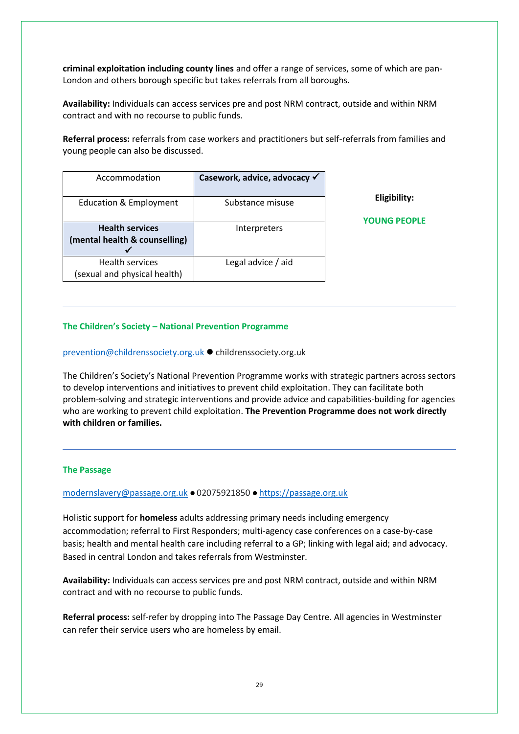**criminal exploitation including county lines** and offer a range of services, some of which are pan-London and others borough specific but takes referrals from all boroughs.

**Availability:** Individuals can access services pre and post NRM contract, outside and within NRM contract and with no recourse to public funds.

**Referral process:** referrals from case workers and practitioners but self-referrals from families and young people can also be discussed.

| Accommodation                                          | Casework, advice, advocacy √ |                     |
|--------------------------------------------------------|------------------------------|---------------------|
|                                                        |                              | Eligibility:        |
| Education & Employment                                 | Substance misuse             |                     |
|                                                        |                              | <b>YOUNG PEOPLE</b> |
| <b>Health services</b>                                 | Interpreters                 |                     |
| (mental health & counselling)                          |                              |                     |
|                                                        |                              |                     |
| <b>Health services</b><br>(sexual and physical health) | Legal advice / aid           |                     |

#### **The Children's Society – National Prevention Programme**

[prevention@childrenssociety.org.uk](mailto:prevention@childrenssociety.org.uk) ⚫ childrenssociety.org.uk

The Children's Society's National Prevention Programme works with strategic partners across sectors to develop interventions and initiatives to prevent child exploitation. They can facilitate both problem-solving and strategic interventions and provide advice and capabilities-building for agencies who are working to prevent child exploitation. **The Prevention Programme does not work directly with children or families.**

#### <span id="page-28-0"></span>**The Passage**

#### [modernslavery@passage.org.uk](mailto:modernslavery@passage.org.uk) ⚫ 02075921850 ⚫ [https://passage.org.uk](https://passage.org.uk/)

Holistic support for **homeless** adults addressing primary needs including emergency accommodation; referral to First Responders; multi-agency case conferences on a case-by-case basis; health and mental health care including referral to a GP; linking with legal aid; and advocacy. Based in central London and takes referrals from Westminster.

**Availability:** Individuals can access services pre and post NRM contract, outside and within NRM contract and with no recourse to public funds.

**Referral process:** self-refer by dropping into The Passage Day Centre. All agencies in Westminster can refer their service users who are homeless by email.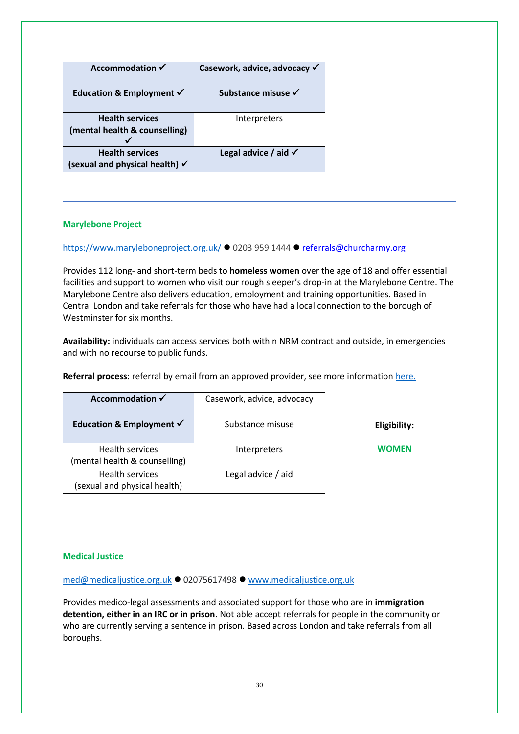| Accommodation √                                                     | Casework, advice, advocacy √    |
|---------------------------------------------------------------------|---------------------------------|
| Education & Employment $\checkmark$                                 | Substance misuse √              |
| <b>Health services</b><br>(mental health & counselling)             | Interpreters                    |
| <b>Health services</b><br>(sexual and physical health) $\checkmark$ | Legal advice / aid $\checkmark$ |

#### <span id="page-29-0"></span>**Marylebone Project**

#### <https://www.maryleboneproject.org.uk/> ⚫ 0203 959 1444 ⚫ referrals@churcharmy.org

Provides 112 long- and short-term beds to **homeless women** over the age of 18 and offer essential facilities and support to women who visit our rough sleeper's drop-in at the Marylebone Centre. The Marylebone Centre also delivers education, employment and training opportunities. Based in Central London and take referrals for those who have had a local connection to the borough of Westminster for six months.

**Availability:** individuals can access services both within NRM contract and outside, in emergencies and with no recourse to public funds.

| Referral process: referral by email from an approved provider, see more information here. |  |
|-------------------------------------------------------------------------------------------|--|
|-------------------------------------------------------------------------------------------|--|

| Accommodation $\checkmark$                              | Casework, advice, advocacy |
|---------------------------------------------------------|----------------------------|
| Education & Employment √                                | Substance misuse           |
| <b>Health services</b><br>(mental health & counselling) | Interpreters               |
| <b>Health services</b><br>(sexual and physical health)  | Legal advice / aid         |

**Eligibility:**

**WOMEN**

#### **Medical Justice**

[med@medicaljustice.org.uk](mailto:med@medicaljustice.org.uk) ⚫ 02075617498 ⚫ [www.medicaljustice.org.uk](http://www.medicaljustice.org.uk/)

Provides medico-legal assessments and associated support for those who are in **immigration detention, either in an IRC or in prison**. Not able accept referrals for people in the community or who are currently serving a sentence in prison. Based across London and take referrals from all boroughs.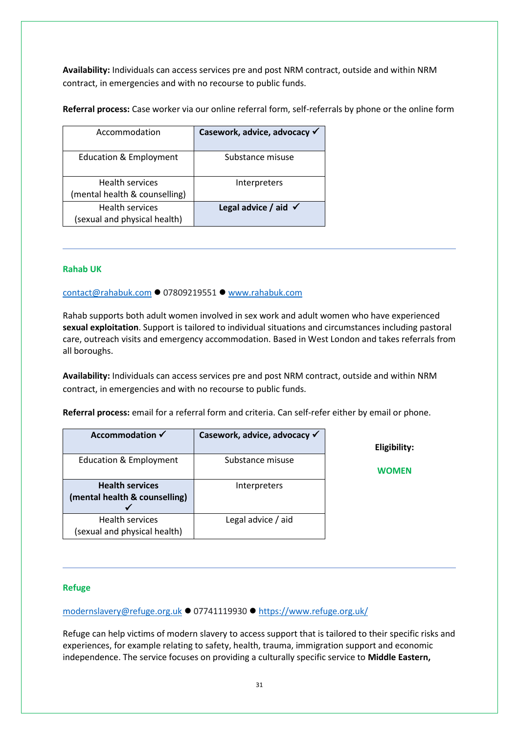**Availability:** Individuals can access services pre and post NRM contract, outside and within NRM contract, in emergencies and with no recourse to public funds.

**Referral process:** Case worker via our online referral form, self-referrals by phone or the online form

| Accommodation                                           | Casework, advice, advocacy √    |
|---------------------------------------------------------|---------------------------------|
| <b>Education &amp; Employment</b>                       | Substance misuse                |
| <b>Health services</b><br>(mental health & counselling) | Interpreters                    |
| <b>Health services</b><br>(sexual and physical health)  | Legal advice / aid $\checkmark$ |

#### <span id="page-30-0"></span>**Rahab UK**

[contact@rahabuk.com](mailto:contact@rahabuk.com) ⚫ 07809219551 ⚫ [www.rahabuk.com](http://www.rahabuk.com/)

Rahab supports both adult women involved in sex work and adult women who have experienced **sexual exploitation**. Support is tailored to individual situations and circumstances including pastoral care, outreach visits and emergency accommodation. Based in West London and takes referrals from all boroughs.

**Availability:** Individuals can access services pre and post NRM contract, outside and within NRM contract, in emergencies and with no recourse to public funds.

**Referral process:** email for a referral form and criteria. Can self-refer either by email or phone.

| Accommodation $\checkmark$                              | Casework, advice, advocacy √ | Eligibility: |
|---------------------------------------------------------|------------------------------|--------------|
| Education & Employment                                  | Substance misuse             | WOMEN        |
| <b>Health services</b><br>(mental health & counselling) | Interpreters                 |              |
| <b>Health services</b><br>(sexual and physical health)  | Legal advice / aid           |              |

#### <span id="page-30-1"></span>**Refuge**

[modernslavery@refuge.org.uk](mailto:modernslavery@refuge.org.uk) ⚫ 07741119930 ⚫ <https://www.refuge.org.uk/>

Refuge can help victims of modern slavery to access support that is tailored to their specific risks and experiences, for example relating to safety, health, trauma, immigration support and economic independence. The service focuses on providing a culturally specific service to **Middle Eastern,**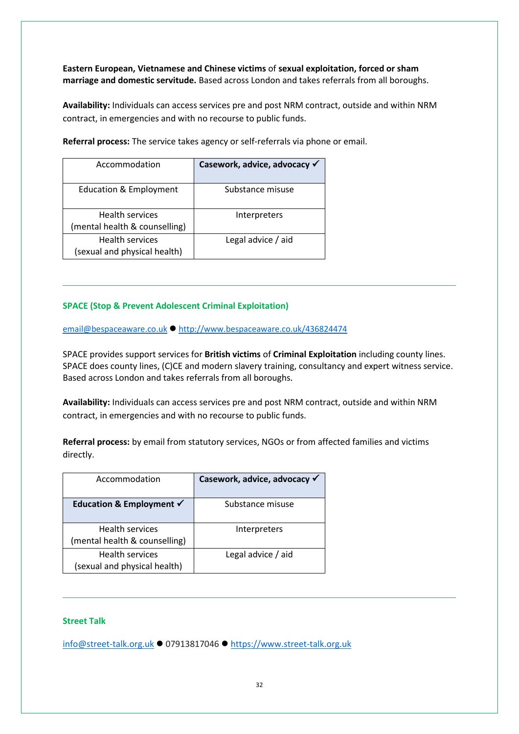**Eastern European, Vietnamese and Chinese victims** of **sexual exploitation, forced or sham marriage and domestic servitude.** Based across London and takes referrals from all boroughs.

**Availability:** Individuals can access services pre and post NRM contract, outside and within NRM contract, in emergencies and with no recourse to public funds.

**Referral process:** The service takes agency or self-referrals via phone or email.

| Accommodation                                           | Casework, advice, advocacy √ |
|---------------------------------------------------------|------------------------------|
| <b>Education &amp; Employment</b>                       | Substance misuse             |
| <b>Health services</b><br>(mental health & counselling) | Interpreters                 |
| Health services<br>(sexual and physical health)         | Legal advice / aid           |

#### <span id="page-31-0"></span>**SPACE (Stop & Prevent Adolescent Criminal Exploitation)**

[email@bespaceaware.co.uk](mailto:email@bespaceaware.co.uk) ⚫ <http://www.bespaceaware.co.uk/436824474>

SPACE provides support services for **British victims** of **Criminal Exploitation** including county lines. SPACE does county lines, (C)CE and modern slavery training, consultancy and expert witness service. Based across London and takes referrals from all boroughs.

**Availability:** Individuals can access services pre and post NRM contract, outside and within NRM contract, in emergencies and with no recourse to public funds.

**Referral process:** by email from statutory services, NGOs or from affected families and victims directly.

| Accommodation                                           | Casework, advice, advocacy √ |
|---------------------------------------------------------|------------------------------|
| Education & Employment $\checkmark$                     | Substance misuse             |
| <b>Health services</b><br>(mental health & counselling) | Interpreters                 |
| <b>Health services</b><br>(sexual and physical health)  | Legal advice / aid           |

#### <span id="page-31-1"></span>**Street Talk**

[info@street-talk.org.uk](mailto:info@street-talk.org.uk) ⚫ 07913817046 ⚫ [https://www.street-talk.org.uk](https://www.street-talk.org.uk/)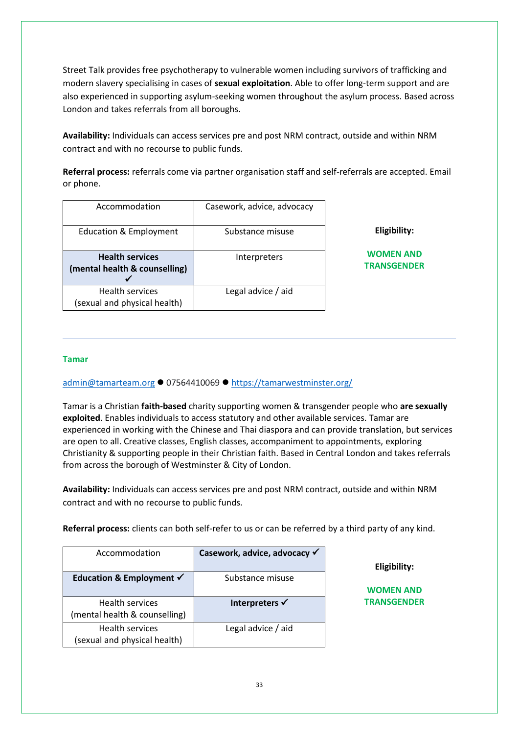Street Talk provides free psychotherapy to vulnerable women including survivors of trafficking and modern slavery specialising in cases of **sexual exploitation**. Able to offer long-term support and are also experienced in supporting asylum-seeking women throughout the asylum process. Based across London and takes referrals from all boroughs.

**Availability:** Individuals can access services pre and post NRM contract, outside and within NRM contract and with no recourse to public funds.

**Referral process:** referrals come via partner organisation staff and self-referrals are accepted. Email or phone.

| Accommodation                                           | Casework, advice, advocacy |                                        |
|---------------------------------------------------------|----------------------------|----------------------------------------|
| Education & Employment                                  | Substance misuse           | Eligibility:                           |
| <b>Health services</b><br>(mental health & counselling) | Interpreters               | <b>WOMEN AND</b><br><b>TRANSGENDER</b> |
| <b>Health services</b><br>(sexual and physical health)  | Legal advice / aid         |                                        |

#### <span id="page-32-0"></span>**Tamar**

[admin@tamarteam.org](mailto:admin@tamarteam.org) ⚫ 07564410069 ⚫ <https://tamarwestminster.org/>

Tamar is a Christian **faith-based** charity supporting women & transgender people who **are sexually exploited**. Enables individuals to access statutory and other available services. Tamar are experienced in working with the Chinese and Thai diaspora and can provide translation, but services are open to all. Creative classes, English classes, accompaniment to appointments, exploring Christianity & supporting people in their Christian faith. Based in Central London and takes referrals from across the borough of Westminster & City of London.

**Availability:** Individuals can access services pre and post NRM contract, outside and within NRM contract and with no recourse to public funds.

**Referral process:** clients can both self-refer to us or can be referred by a third party of any kind.

| Accommodation                                          | Casework, advice, advocacy √ |
|--------------------------------------------------------|------------------------------|
| Education & Employment $\checkmark$                    | Substance misuse             |
| <b>Health services</b>                                 | Interpreters √               |
| (mental health & counselling)                          |                              |
| <b>Health services</b><br>(sexual and physical health) | Legal advice / aid           |

#### **Eligibility:**

**WOMEN AND TRANSGENDER**